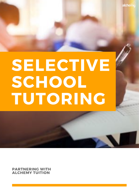# SELECTIVE SCHOOL TUTORING

**PARTNERING WITH ALCHEMY TUITION**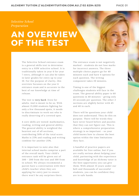PAGE 01

*Selective School Preparation*

### **AN OVERVIEW** OF THE TEST

The Selective School entrance exam is a general skills test to determine entry to a NSW selective school. It is traditionally taken in year 6 for year 7 entry, although it can also be taken in later grades for entry up to year 10. For the purpose of clarity, this overview focusses on the year 6 entrance exam and is accurate to the best of our knowledge at time of release.

The test is **very hard**. Even for adults. And is meant to be so. With almost 15,000 students fighting for only a few thousand spots, it needs to discriminate to work out who is really deserving of a coveted spot.

4 core skills are tested: mathematics, reading, writing and general ability. The general ability is weighted the heaviest out of all sections, contributing 50% of the total score. Maths is 25% and reading and writing combine for another 25%.

It is important to note also that internal school marks comprise a part of the overall mark. Your child's entrance rank will be given out of 300 - 200 from the test and 100 from in school. We always recommend a parent have a conversation with their child's teacher when they are applying for entry just to ensure there won't be any surprises there.

The entrance exam is not negatively marked - students do not lose marks for incorrect answers. The three multiple choice papers go for 40 minutes each and have 4 options for each question. The writing component takes 20 minutes.

Timing is one of the biggest challenges students will face in the exam. The general ability paper is 60 questions in 40 minutes - giving only 45 seconds per question. The other 2 sections are slightly better with 45 and 40 in each.

There will be questions your child does not understand. They do this on purpose. There will be words they have never heard before and puzzles that they can not figure out. This is where a comprehensive preparation strategy is so important - so your child knows how to choose the best option within the time limitations they face.

A handful of practice papers are available for free online, but if you are really serious about helping your child, partnering with the experience and knowledge of an Alchemy tutor is the best opportunity you can give them. With almost 15 years under our belt and thousands of successful students, you can be confident they are in safe hands.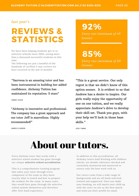### *last year's*

# **REVIEWS & STATISTICS**

We have been helping students get in to selective schools since 2005, seeing more than a thousand successful students in this time.

The following are just a handful of the hundreds of verified 5-star reviews we have received in the last 12 months:

"Sarrvesa is an amazing tutor and has been instrumental in building her added confidence. Alchemy Tuition has maintained its reputation: 5 stars"

SIMRIT KAUR

"Alchemy is innovative and professional. The company has a great approach and our tutor Jeff is marvellous. Highly recommended!"

92%

*Entry rate (minimum of 40 lessons)*

85% *Entry rate (minimum of 20 lessons)*

"This is a great service. Our only regret is that we didn't know of this option sooner. It is evident to us that Andrew has a desire to inspire. Our girls really enjoy the opportunity of one on one tuition, and we really appreciate Andrew's drive to develop their skill set. Thank you guys, with your help we'll lock in those base skills."

JAMES & KAREN

JESS TIMMS

# About our tutors.

Every Alchemy tutor that works with a selective school student has gone through our unique **selective school accreditation**.

This is a comprehensive training program that takes your tutor through every component of the exam so they know exactly what is tested and how to prepare the student for the exam. In many cases, they would have gone through the selective school system themselves and therefore offer first hand experience.

In addition to this accreditation, all Alchemy tutors hold Working with children checks, are double reference checked and constantly monitored and mentored to ensure only the best work with us.

Our tutors come from a wide range of backgrounds and are all hand-selected, trained and supported. Once you make your booking, we will match your child up with the tutor we see as the best match and send you their profile by email.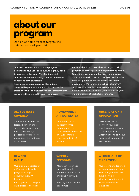# about our program

One on one tuition that targets the unique needs of your child.

Our selective school preparation program is designed to give your child everything they need to succeed in the exam. This fundamentally centres around familiarising them with the exam content as best as possible.

Your preparation program will be uniquely designed by your tutor for your child. In the first lesson they will do a selective school assessment to see where their strengths and weaknesses

currently lie. From there, they will adjust their program to ensure your child is performing at the top of their game when the exam rolls around. Your program will cover all core areas and involve both self-guided study and homework where appropriate. We send you feedback after every session and a detailed progress report every 10 lessons. Your tutor will keep you updated on your child's progress at each step of the way.

#### **ALL SUBJECTS COVERED**

Your tutor will alternate lessons between the 4 subjects to ensure your child is adequately prepared across all core areas, focussing on those as required.

#### **HOMEWORK (IF APPROPRIATE)**

Consistency is so important when preparing for the selective school exam, so this work should continue outside of

#### **10 WEEK CYCLE**

Our program operates on a 10 week cycle, with progress testing lessons. Each cycle will move your child closer to the goal.

### **WEEKLY FEEDBACK**

After each lesson your tutor will submit feedback on the lesson and send it to you by email. Keeping you in the loop at all times.

#### **OBSERVATION & APPLICATION**

Lessons will move between your tutor showing your child what to do and your tutor watching them do it. This ensures all learning styles are covered.

### **A HIGHLIGHT OF THIER WEEK**

Our lessons are designed to be engaging and the most fun your child will have all week! Our tutors are trained to make each lesson amazing!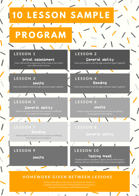

Written tasks given at the end of each lesson for student to complete during the week. Writing will then be reviewed at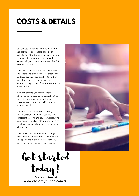## **COSTS & DETAILS**

Our private tuition is affordable, flexible and contract-free. Please check our website or get in touch for pricing in your area. We offer discounts on prepaid packages if you choose to prepay 10 or 20 lessons at a time.

We offer tuition in-home, at local libraries or schools and even online. No after school madness driving your child to the other end of town or fighting for parking in a busy shopping centre. Easy, convenient, inhome tuition.

We work around your busy schedule when you book with us, you simply let us know the best day and time for the sessions to occur and we will organise a tutor to match.

Whilst you are not locked in to regular weekly sessions, we firmly believe that consistent lessons are key to success. The most successful students in our programs are those that see their tutor every week without fail.

We can work with students as young as year 3 and up to year 9 for late entry. We also specialise in scholarship entry, OC entry and private school entry exams.



Get started

today!

**Book online at www.alchemytuition.com.au**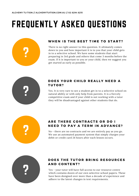# FREQUENTLY ASKED QUESTIONS



### WHEN IS THE BEST TIME TO START?

There is no right answer to this question. It ultimately comes<br>down to you and how important it is to you that your child ge<br>in to a selective school. We have some students that start<br>preparing in 3rd grade and others that down to you and how important it is to you that your child gets in to a selective school. We have some students that start preparing in 3rd grade and others that come 3 months before the exam. If it is important to you or your child, then we suggest you get started as early as possible.



### DOES YOUR CHILD REALLY NEED A **TUTOR?**<br>Yes. It is very rare to see a student get in to a selective school on

natural ability or with only help from parents. It is a fiercely competitive exam and if your child is not working with a tutor they will be disadvantaged against other students that do.



### ARE THERE CONTRACTS OR DO I **NEED TO PAY A TERM IN ADVANCE?**<br>No - there are no contracts and we are entirely pay as you go.

We use an automated payment system that simply charges your debit or credit card 24 hours after each lesson occurs.



### DOES THE TUTOR BRING RESOURCES

Yes - your tutor will have full access to our resource centre<br>which contains dozen of our own selective school papers. T<br>have been designed over more than a decade of experience which contains dozen of our own selective school papers. These have been designed over more than a decade of experience and adhere to the latest changes in test requirements.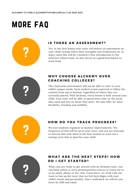# more faq



### IS THERE AN ASSESSMENT?

Yes. In the first lesson your tutor will deliver an assessment on your child, seeing where their strengths and weaknesses lie. In many cases this will be a student's first introduction to the selective school exam, so also your child, seeing where their strengths and weaknesses lie. In many cases this will be a student's first introduction to the selective school exam, so also serves as a good benchmark to work from.



### WHY CHOOSE ALCHEMY OVER COACHING COLLEGES?

The classroom environment will not be able to cater to your<br>
child's unique needs. Each student is just expected to follow the<br>
content from top to bottom, regardless of where they are<br>
currently placed. With Alchemy, ever child's unique needs. Each student is just expected to follow the content from top to bottom, regardless of where they are child. Your tutor will be able to spend more time on the areas they need and less on those they don't. We also offer far more flexibility, freedom and visibility.



### **HOW DO YOU TRACK PROGRESS?**

We test students regularly to monitor improvements. The frequency of this will be up to your tutor, and you are well to discuss this with them in the first session to work out a testing evoluation is that is ideal for seve frequency of this will be up to your tutor, and you are welcome to discuss this with them in the first session to work out a testing cycle that is ideal for your child.



### **WHAT ARE THE NEXT STEPS? HOW DO I GET STARTED?**

When you are ready to get started with an Alchemy tutor, you can book online at www.alchemytuition.com.au or reach out to us by email, phone or live chat. From there, we work with our team to line up the tutor that we feel best aligns with your child's needs and personality. Once confirmed, we will let you know by SMS and email.